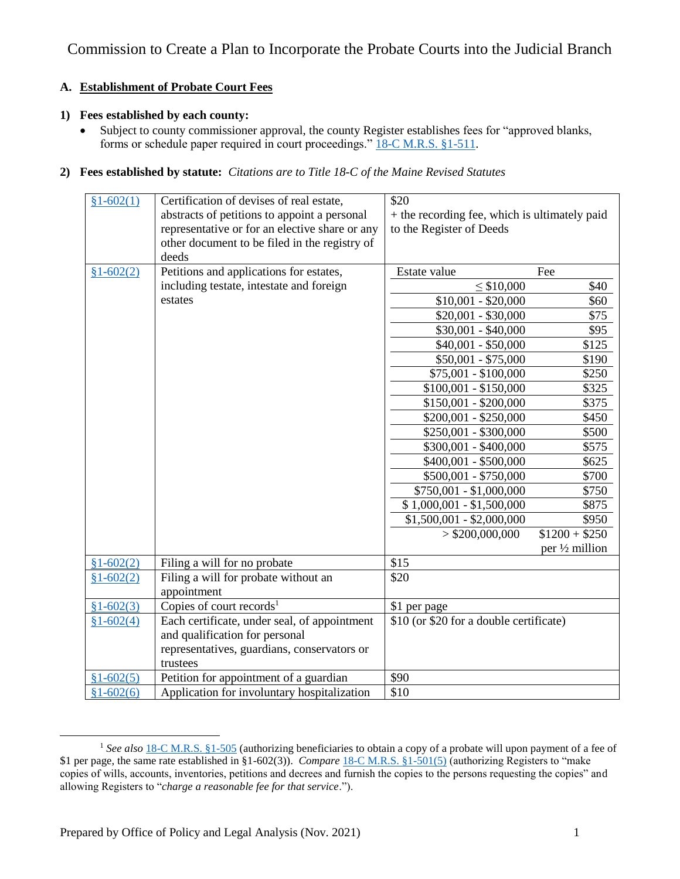## **A. Establishment of Probate Court Fees**

## **1) Fees established by each county:**

• Subject to county commissioner approval, the county Register establishes fees for "approved blanks, forms or schedule paper required in court proceedings." [18-C M.R.S. §1-511.](https://legislature.maine.gov/legis/statutes/18-C/title18-Csec1-511.html)

## **2) Fees established by statute:** *Citations are to Title 18-C of the Maine Revised Statutes*

| $$1-602(1)$ | Certification of devises of real estate,       | \$20                                          |                 |
|-------------|------------------------------------------------|-----------------------------------------------|-----------------|
|             | abstracts of petitions to appoint a personal   | + the recording fee, which is ultimately paid |                 |
|             | representative or for an elective share or any | to the Register of Deeds                      |                 |
|             | other document to be filed in the registry of  |                                               |                 |
|             | deeds                                          |                                               |                 |
| $$1-602(2)$ | Petitions and applications for estates,        | Estate value                                  | Fee             |
|             | including testate, intestate and foreign       | $\leq$ \$10,000                               | \$40            |
|             | estates                                        | $$10,001 - $20,000$                           | \$60            |
|             |                                                | $$20,001 - $30,000$                           | \$75            |
|             |                                                | $$30,001 - $40,000$                           | \$95            |
|             |                                                | $$40,001 - $50,000$                           | \$125           |
|             |                                                | $$50,001 - $75,000$                           | \$190           |
|             |                                                | \$75,001 - \$100,000                          | \$250           |
|             |                                                | $$100,001 - $150,000$                         | \$325           |
|             |                                                | $$150,001 - $200,000$                         | \$375           |
|             |                                                | $$200,001 - $250,000$                         | \$450           |
|             |                                                | \$250,001 - \$300,000                         | \$500           |
|             |                                                | \$300,001 - \$400,000                         | \$575           |
|             |                                                | \$400,001 - \$500,000                         | \$625           |
|             |                                                | \$500,001 - \$750,000                         | \$700           |
|             |                                                | $$750,001 - $1,000,000$                       | \$750           |
|             |                                                | $$1,000,001 - $1,500,000$                     | \$875           |
|             |                                                | $$1,500,001 - $2,000,000$                     | \$950           |
|             |                                                | $>$ \$200,000,000                             | $$1200 + $250$  |
|             |                                                |                                               | per 1/2 million |
| $$1-602(2)$ | Filing a will for no probate                   | \$15                                          |                 |
| $$1-602(2)$ | Filing a will for probate without an           | \$20                                          |                 |
|             | appointment                                    |                                               |                 |
| $$1-602(3)$ | Copies of court records <sup>1</sup>           | \$1 per page                                  |                 |
| $$1-602(4)$ | Each certificate, under seal, of appointment   | \$10 (or \$20 for a double certificate)       |                 |
|             | and qualification for personal                 |                                               |                 |
|             | representatives, guardians, conservators or    |                                               |                 |
|             | trustees                                       |                                               |                 |
| $$1-602(5)$ | Petition for appointment of a guardian         | \$90                                          |                 |
| $$1-602(6)$ | Application for involuntary hospitalization    | \$10                                          |                 |

<sup>&</sup>lt;sup>1</sup> See also <u>[18-C M.R.S. §1-505](https://legislature.maine.gov/legis/statutes/18-C/title18-Csec1-505.html)</u> (authorizing beneficiaries to obtain a copy of a probate will upon payment of a fee of \$1 per page, the same rate established in §1-602(3)). *Compare* [18-C M.R.S. §1-501\(5\)](https://legislature.maine.gov/legis/statutes/18-C/title18-Csec1-501.html) (authorizing Registers to "make copies of wills, accounts, inventories, petitions and decrees and furnish the copies to the persons requesting the copies" and allowing Registers to "*charge a reasonable fee for that service*.").

l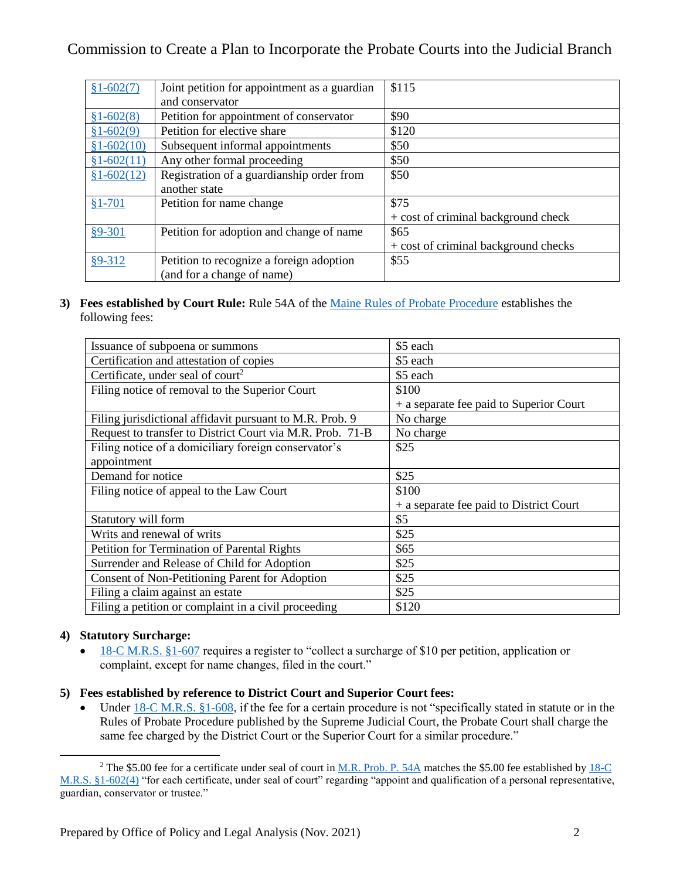## Commission to Create a Plan to Incorporate the Probate Courts into the Judicial Branch

| $$1-602(7)$  | Joint petition for appointment as a guardian | \$115                                |
|--------------|----------------------------------------------|--------------------------------------|
|              | and conservator                              |                                      |
| $$1-602(8)$  | Petition for appointment of conservator      | \$90                                 |
| $$1-602(9)$  | Petition for elective share                  | \$120                                |
| $$1-602(10)$ | Subsequent informal appointments             | \$50                                 |
| $$1-602(11)$ | Any other formal proceeding                  | \$50                                 |
| $$1-602(12)$ | Registration of a guardianship order from    | \$50                                 |
|              | another state                                |                                      |
| $$1-701$     | Petition for name change                     | \$75                                 |
|              |                                              | + cost of criminal background check  |
| $§9 - 301$   | Petition for adoption and change of name     | \$65                                 |
|              |                                              | + cost of criminal background checks |
| $§9 - 312$   | Petition to recognize a foreign adoption     | \$55                                 |
|              | (and for a change of name)                   |                                      |

**3) Fees established by Court Rule:** Rule 54A of the Maine [Rules of Probate Procedure](https://www.courts.maine.gov/rules/text/mr_prob_p_only_2019-04-11.pdf) establishes the following fees:

| Issuance of subpoena or summons                           | \$5 each                                |
|-----------------------------------------------------------|-----------------------------------------|
| Certification and attestation of copies                   | \$5 each                                |
| Certificate, under seal of court <sup>2</sup>             | \$5 each                                |
| Filing notice of removal to the Superior Court            | \$100                                   |
|                                                           | + a separate fee paid to Superior Court |
| Filing jurisdictional affidavit pursuant to M.R. Prob. 9  | No charge                               |
| Request to transfer to District Court via M.R. Prob. 71-B | No charge                               |
| Filing notice of a domiciliary foreign conservator's      | \$25                                    |
| appointment                                               |                                         |
| Demand for notice                                         | \$25                                    |
| Filing notice of appeal to the Law Court                  | \$100                                   |
|                                                           | + a separate fee paid to District Court |
| Statutory will form                                       | \$5                                     |
| Writs and renewal of writs                                | \$25                                    |
| Petition for Termination of Parental Rights               | \$65                                    |
| Surrender and Release of Child for Adoption               | \$25                                    |
| Consent of Non-Petitioning Parent for Adoption            | \$25                                    |
| Filing a claim against an estate                          | \$25                                    |
| Filing a petition or complaint in a civil proceeding      | \$120                                   |
|                                                           |                                         |

#### **4) Statutory Surcharge:**

l

• [18-C M.R.S. §1-607](https://legislature.maine.gov/legis/statutes/18-C/title18-Csec1-607.html) requires a register to "collect a surcharge of \$10 per petition, application or complaint, except for name changes, filed in the court."

## **5) Fees established by reference to District Court and Superior Court fees:**

• Under [18-C M.R.S. §1-608,](https://legislature.maine.gov/legis/statutes/18-C/title18-Csec1-608.html) if the fee for a certain procedure is not "specifically stated in statute or in the Rules of Probate Procedure published by the Supreme Judicial Court, the Probate Court shall charge the same fee charged by the District Court or the Superior Court for a similar procedure."

<sup>&</sup>lt;sup>2</sup> The \$5.00 fee for a certificate under seal of court in [M.R. Prob. P. 54A](https://www.courts.maine.gov/rules/text/mr_prob_p_only_2019-04-11.pdf) matches the \$5.00 fee established by 18-C [M.R.S. §1-602\(4\)](https://legislature.maine.gov/legis/statutes/18-C/title18-Csec1-602.html) "for each certificate, under seal of court" regarding "appoint and qualification of a personal representative, guardian, conservator or trustee."